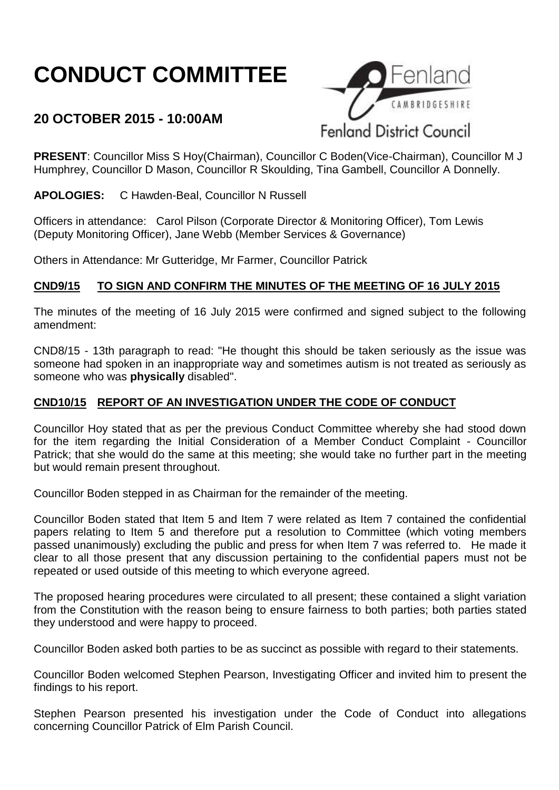# **CONDUCT COMMITTEE**

# **20 OCTOBER 2015 - 10:00AM**



**PRESENT**: Councillor Miss S Hoy(Chairman), Councillor C Boden(Vice-Chairman), Councillor M J Humphrey, Councillor D Mason, Councillor R Skoulding, Tina Gambell, Councillor A Donnelly.

**APOLOGIES:** C Hawden-Beal, Councillor N Russell

Officers in attendance: Carol Pilson (Corporate Director & Monitoring Officer), Tom Lewis (Deputy Monitoring Officer), Jane Webb (Member Services & Governance)

Others in Attendance: Mr Gutteridge, Mr Farmer, Councillor Patrick

### **CND9/15 TO SIGN AND CONFIRM THE MINUTES OF THE MEETING OF 16 JULY 2015**

The minutes of the meeting of 16 July 2015 were confirmed and signed subject to the following amendment:

CND8/15 - 13th paragraph to read: "He thought this should be taken seriously as the issue was someone had spoken in an inappropriate way and sometimes autism is not treated as seriously as someone who was **physically** disabled".

## **CND10/15 REPORT OF AN INVESTIGATION UNDER THE CODE OF CONDUCT**

Councillor Hoy stated that as per the previous Conduct Committee whereby she had stood down for the item regarding the Initial Consideration of a Member Conduct Complaint - Councillor Patrick; that she would do the same at this meeting; she would take no further part in the meeting but would remain present throughout.

Councillor Boden stepped in as Chairman for the remainder of the meeting.

Councillor Boden stated that Item 5 and Item 7 were related as Item 7 contained the confidential papers relating to Item 5 and therefore put a resolution to Committee (which voting members passed unanimously) excluding the public and press for when Item 7 was referred to. He made it clear to all those present that any discussion pertaining to the confidential papers must not be repeated or used outside of this meeting to which everyone agreed.

The proposed hearing procedures were circulated to all present; these contained a slight variation from the Constitution with the reason being to ensure fairness to both parties; both parties stated they understood and were happy to proceed.

Councillor Boden asked both parties to be as succinct as possible with regard to their statements.

Councillor Boden welcomed Stephen Pearson, Investigating Officer and invited him to present the findings to his report.

Stephen Pearson presented his investigation under the Code of Conduct into allegations concerning Councillor Patrick of Elm Parish Council.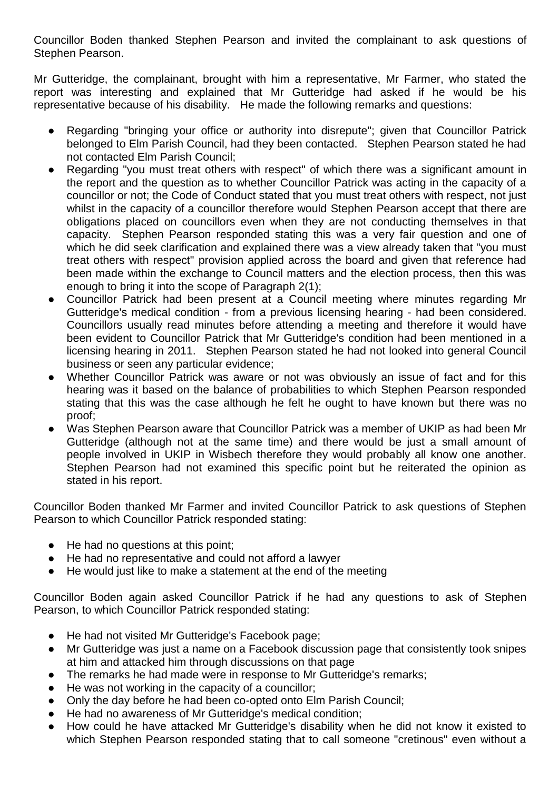Councillor Boden thanked Stephen Pearson and invited the complainant to ask questions of Stephen Pearson.

Mr Gutteridge, the complainant, brought with him a representative, Mr Farmer, who stated the report was interesting and explained that Mr Gutteridge had asked if he would be his representative because of his disability. He made the following remarks and questions:

- Regarding "bringing your office or authority into disrepute"; given that Councillor Patrick belonged to Elm Parish Council, had they been contacted. Stephen Pearson stated he had not contacted Elm Parish Council;
- Regarding "you must treat others with respect" of which there was a significant amount in the report and the question as to whether Councillor Patrick was acting in the capacity of a councillor or not; the Code of Conduct stated that you must treat others with respect, not just whilst in the capacity of a councillor therefore would Stephen Pearson accept that there are obligations placed on councillors even when they are not conducting themselves in that capacity. Stephen Pearson responded stating this was a very fair question and one of which he did seek clarification and explained there was a view already taken that "you must treat others with respect" provision applied across the board and given that reference had been made within the exchange to Council matters and the election process, then this was enough to bring it into the scope of Paragraph 2(1);
- Councillor Patrick had been present at a Council meeting where minutes regarding Mr Gutteridge's medical condition - from a previous licensing hearing - had been considered. Councillors usually read minutes before attending a meeting and therefore it would have been evident to Councillor Patrick that Mr Gutteridge's condition had been mentioned in a licensing hearing in 2011. Stephen Pearson stated he had not looked into general Council business or seen any particular evidence;
- Whether Councillor Patrick was aware or not was obviously an issue of fact and for this hearing was it based on the balance of probabilities to which Stephen Pearson responded stating that this was the case although he felt he ought to have known but there was no proof;
- Was Stephen Pearson aware that Councillor Patrick was a member of UKIP as had been Mr Gutteridge (although not at the same time) and there would be just a small amount of people involved in UKIP in Wisbech therefore they would probably all know one another. Stephen Pearson had not examined this specific point but he reiterated the opinion as stated in his report.

Councillor Boden thanked Mr Farmer and invited Councillor Patrick to ask questions of Stephen Pearson to which Councillor Patrick responded stating:

- He had no questions at this point;
- He had no representative and could not afford a lawyer
- He would just like to make a statement at the end of the meeting

Councillor Boden again asked Councillor Patrick if he had any questions to ask of Stephen Pearson, to which Councillor Patrick responded stating:

- He had not visited Mr Gutteridge's Facebook page;
- Mr Gutteridge was just a name on a Facebook discussion page that consistently took snipes at him and attacked him through discussions on that page
- The remarks he had made were in response to Mr Gutteridge's remarks;
- He was not working in the capacity of a councillor;
- Only the day before he had been co-opted onto Elm Parish Council;
- He had no awareness of Mr Gutteridge's medical condition;
- How could he have attacked Mr Gutteridge's disability when he did not know it existed to which Stephen Pearson responded stating that to call someone "cretinous" even without a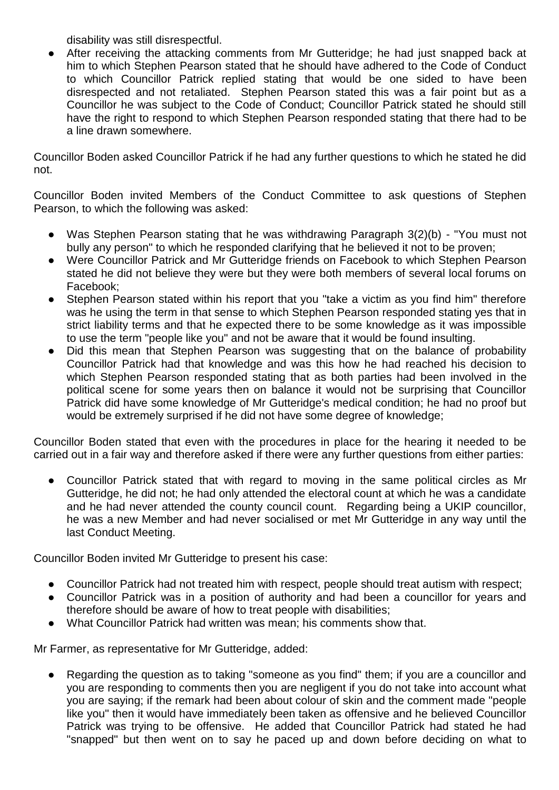disability was still disrespectful.

After receiving the attacking comments from Mr Gutteridge; he had just snapped back at him to which Stephen Pearson stated that he should have adhered to the Code of Conduct to which Councillor Patrick replied stating that would be one sided to have been disrespected and not retaliated. Stephen Pearson stated this was a fair point but as a Councillor he was subject to the Code of Conduct; Councillor Patrick stated he should still have the right to respond to which Stephen Pearson responded stating that there had to be a line drawn somewhere.

Councillor Boden asked Councillor Patrick if he had any further questions to which he stated he did not.

Councillor Boden invited Members of the Conduct Committee to ask questions of Stephen Pearson, to which the following was asked:

- Was Stephen Pearson stating that he was withdrawing Paragraph 3(2)(b) "You must not bully any person" to which he responded clarifying that he believed it not to be proven;
- Were Councillor Patrick and Mr Gutteridge friends on Facebook to which Stephen Pearson stated he did not believe they were but they were both members of several local forums on Facebook;
- Stephen Pearson stated within his report that you "take a victim as you find him" therefore was he using the term in that sense to which Stephen Pearson responded stating yes that in strict liability terms and that he expected there to be some knowledge as it was impossible to use the term "people like you" and not be aware that it would be found insulting.
- Did this mean that Stephen Pearson was suggesting that on the balance of probability Councillor Patrick had that knowledge and was this how he had reached his decision to which Stephen Pearson responded stating that as both parties had been involved in the political scene for some years then on balance it would not be surprising that Councillor Patrick did have some knowledge of Mr Gutteridge's medical condition; he had no proof but would be extremely surprised if he did not have some degree of knowledge;

Councillor Boden stated that even with the procedures in place for the hearing it needed to be carried out in a fair way and therefore asked if there were any further questions from either parties:

● Councillor Patrick stated that with regard to moving in the same political circles as Mr Gutteridge, he did not; he had only attended the electoral count at which he was a candidate and he had never attended the county council count. Regarding being a UKIP councillor, he was a new Member and had never socialised or met Mr Gutteridge in any way until the last Conduct Meeting.

Councillor Boden invited Mr Gutteridge to present his case:

- Councillor Patrick had not treated him with respect, people should treat autism with respect;
- Councillor Patrick was in a position of authority and had been a councillor for years and therefore should be aware of how to treat people with disabilities;
- What Councillor Patrick had written was mean; his comments show that.

Mr Farmer, as representative for Mr Gutteridge, added:

● Regarding the question as to taking "someone as you find" them; if you are a councillor and you are responding to comments then you are negligent if you do not take into account what you are saying; if the remark had been about colour of skin and the comment made "people like you" then it would have immediately been taken as offensive and he believed Councillor Patrick was trying to be offensive. He added that Councillor Patrick had stated he had "snapped" but then went on to say he paced up and down before deciding on what to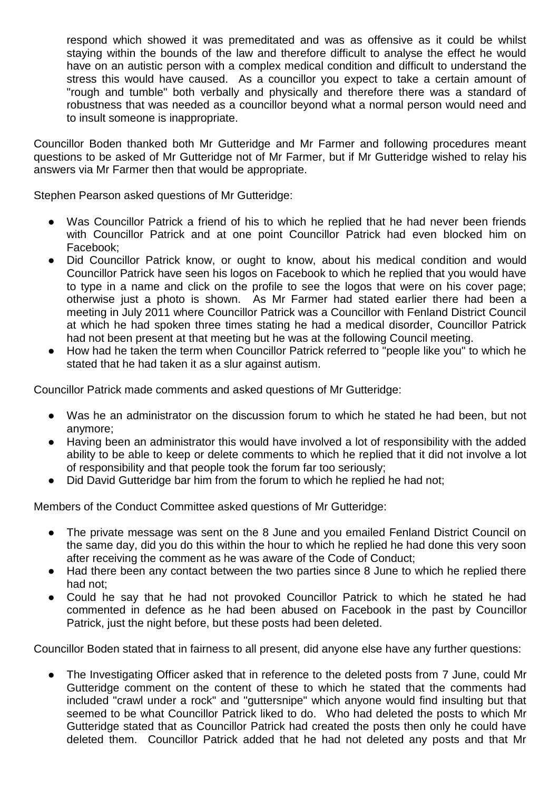respond which showed it was premeditated and was as offensive as it could be whilst staying within the bounds of the law and therefore difficult to analyse the effect he would have on an autistic person with a complex medical condition and difficult to understand the stress this would have caused. As a councillor you expect to take a certain amount of "rough and tumble" both verbally and physically and therefore there was a standard of robustness that was needed as a councillor beyond what a normal person would need and to insult someone is inappropriate.

Councillor Boden thanked both Mr Gutteridge and Mr Farmer and following procedures meant questions to be asked of Mr Gutteridge not of Mr Farmer, but if Mr Gutteridge wished to relay his answers via Mr Farmer then that would be appropriate.

Stephen Pearson asked questions of Mr Gutteridge:

- Was Councillor Patrick a friend of his to which he replied that he had never been friends with Councillor Patrick and at one point Councillor Patrick had even blocked him on Facebook;
- Did Councillor Patrick know, or ought to know, about his medical condition and would Councillor Patrick have seen his logos on Facebook to which he replied that you would have to type in a name and click on the profile to see the logos that were on his cover page; otherwise just a photo is shown. As Mr Farmer had stated earlier there had been a meeting in July 2011 where Councillor Patrick was a Councillor with Fenland District Council at which he had spoken three times stating he had a medical disorder, Councillor Patrick had not been present at that meeting but he was at the following Council meeting.
- How had he taken the term when Councillor Patrick referred to "people like you" to which he stated that he had taken it as a slur against autism.

Councillor Patrick made comments and asked questions of Mr Gutteridge:

- Was he an administrator on the discussion forum to which he stated he had been, but not anymore;
- Having been an administrator this would have involved a lot of responsibility with the added ability to be able to keep or delete comments to which he replied that it did not involve a lot of responsibility and that people took the forum far too seriously;
- Did David Gutteridge bar him from the forum to which he replied he had not;

Members of the Conduct Committee asked questions of Mr Gutteridge:

- The private message was sent on the 8 June and you emailed Fenland District Council on the same day, did you do this within the hour to which he replied he had done this very soon after receiving the comment as he was aware of the Code of Conduct;
- Had there been any contact between the two parties since 8 June to which he replied there had not;
- Could he say that he had not provoked Councillor Patrick to which he stated he had commented in defence as he had been abused on Facebook in the past by Councillor Patrick, just the night before, but these posts had been deleted.

Councillor Boden stated that in fairness to all present, did anyone else have any further questions:

● The Investigating Officer asked that in reference to the deleted posts from 7 June, could Mr Gutteridge comment on the content of these to which he stated that the comments had included "crawl under a rock" and "guttersnipe" which anyone would find insulting but that seemed to be what Councillor Patrick liked to do. Who had deleted the posts to which Mr Gutteridge stated that as Councillor Patrick had created the posts then only he could have deleted them. Councillor Patrick added that he had not deleted any posts and that Mr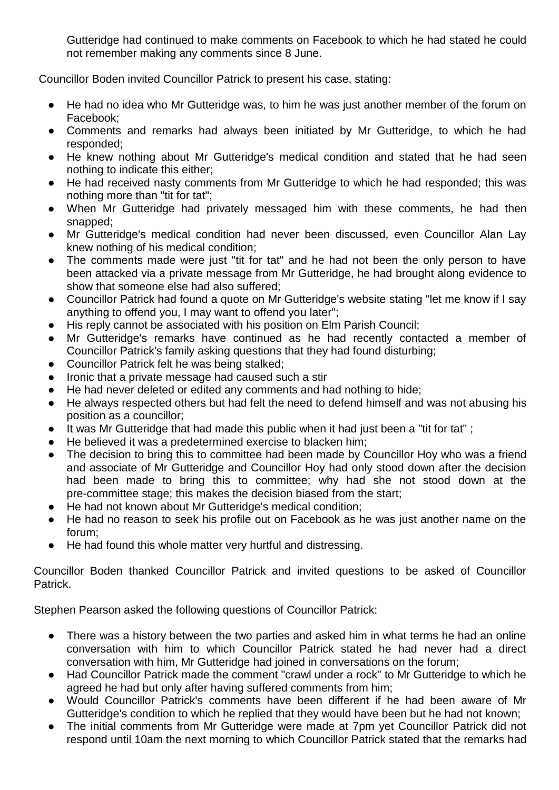Gutteridge had continued to make comments on Facebook to which he had stated he could not remember making any comments since 8 June.

Councillor Boden invited Councillor Patrick to present his case, stating:

- He had no idea who Mr Gutteridge was, to him he was just another member of the forum on Facebook;
- Comments and remarks had always been initiated by Mr Gutteridge, to which he had responded;
- He knew nothing about Mr Gutteridge's medical condition and stated that he had seen nothing to indicate this either;
- He had received nasty comments from Mr Gutteridge to which he had responded; this was nothing more than "tit for tat";
- When Mr Gutteridge had privately messaged him with these comments, he had then snapped;
- Mr Gutteridge's medical condition had never been discussed, even Councillor Alan Lay knew nothing of his medical condition;
- The comments made were just "tit for tat" and he had not been the only person to have been attacked via a private message from Mr Gutteridge, he had brought along evidence to show that someone else had also suffered;
- Councillor Patrick had found a quote on Mr Gutteridge's website stating "let me know if I say anything to offend you, I may want to offend you later";
- His reply cannot be associated with his position on Elm Parish Council;
- Mr Gutteridge's remarks have continued as he had recently contacted a member of Councillor Patrick's family asking questions that they had found disturbing;
- Councillor Patrick felt he was being stalked;
- Ironic that a private message had caused such a stir
- He had never deleted or edited any comments and had nothing to hide;
- He always respected others but had felt the need to defend himself and was not abusing his position as a councillor;
- It was Mr Gutteridge that had made this public when it had just been a "tit for tat";
- He believed it was a predetermined exercise to blacken him;
- The decision to bring this to committee had been made by Councillor Hoy who was a friend and associate of Mr Gutteridge and Councillor Hoy had only stood down after the decision had been made to bring this to committee; why had she not stood down at the pre-committee stage; this makes the decision biased from the start;
- He had not known about Mr Gutteridge's medical condition;
- He had no reason to seek his profile out on Facebook as he was just another name on the forum;
- He had found this whole matter very hurtful and distressing.

Councillor Boden thanked Councillor Patrick and invited questions to be asked of Councillor Patrick.

Stephen Pearson asked the following questions of Councillor Patrick:

- There was a history between the two parties and asked him in what terms he had an online conversation with him to which Councillor Patrick stated he had never had a direct conversation with him, Mr Gutteridge had joined in conversations on the forum;
- Had Councillor Patrick made the comment "crawl under a rock" to Mr Gutteridge to which he agreed he had but only after having suffered comments from him;
- Would Councillor Patrick's comments have been different if he had been aware of Mr Gutteridge's condition to which he replied that they would have been but he had not known;
- The initial comments from Mr Gutteridge were made at 7pm yet Councillor Patrick did not respond until 10am the next morning to which Councillor Patrick stated that the remarks had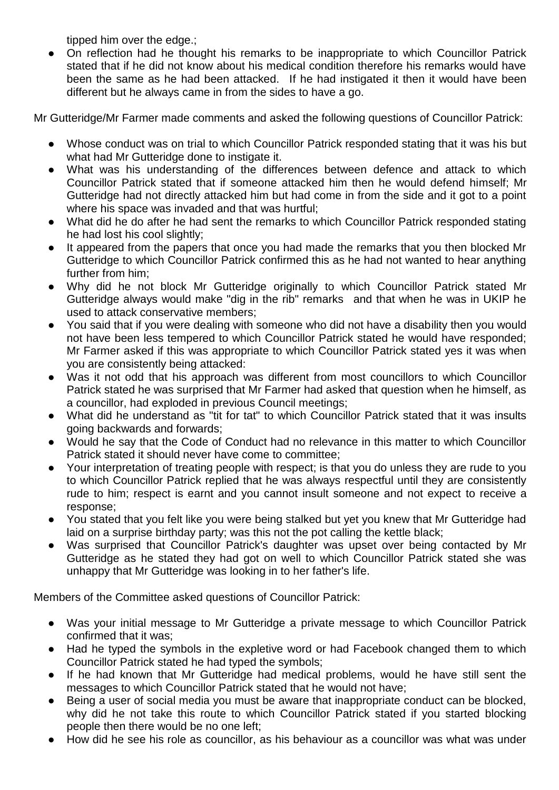tipped him over the edge.;

On reflection had he thought his remarks to be inappropriate to which Councillor Patrick stated that if he did not know about his medical condition therefore his remarks would have been the same as he had been attacked. If he had instigated it then it would have been different but he always came in from the sides to have a go.

Mr Gutteridge/Mr Farmer made comments and asked the following questions of Councillor Patrick:

- Whose conduct was on trial to which Councillor Patrick responded stating that it was his but what had Mr Gutteridge done to instigate it.
- What was his understanding of the differences between defence and attack to which Councillor Patrick stated that if someone attacked him then he would defend himself; Mr Gutteridge had not directly attacked him but had come in from the side and it got to a point where his space was invaded and that was hurtful;
- What did he do after he had sent the remarks to which Councillor Patrick responded stating he had lost his cool slightly;
- It appeared from the papers that once you had made the remarks that you then blocked Mr Gutteridge to which Councillor Patrick confirmed this as he had not wanted to hear anything further from him;
- Why did he not block Mr Gutteridge originally to which Councillor Patrick stated Mr Gutteridge always would make "dig in the rib" remarks and that when he was in UKIP he used to attack conservative members;
- You said that if you were dealing with someone who did not have a disability then you would not have been less tempered to which Councillor Patrick stated he would have responded; Mr Farmer asked if this was appropriate to which Councillor Patrick stated yes it was when you are consistently being attacked:
- Was it not odd that his approach was different from most councillors to which Councillor Patrick stated he was surprised that Mr Farmer had asked that question when he himself, as a councillor, had exploded in previous Council meetings;
- What did he understand as "tit for tat" to which Councillor Patrick stated that it was insults going backwards and forwards;
- Would he say that the Code of Conduct had no relevance in this matter to which Councillor Patrick stated it should never have come to committee;
- Your interpretation of treating people with respect; is that you do unless they are rude to you to which Councillor Patrick replied that he was always respectful until they are consistently rude to him; respect is earnt and you cannot insult someone and not expect to receive a response;
- You stated that you felt like you were being stalked but yet you knew that Mr Gutteridge had laid on a surprise birthday party; was this not the pot calling the kettle black;
- Was surprised that Councillor Patrick's daughter was upset over being contacted by Mr Gutteridge as he stated they had got on well to which Councillor Patrick stated she was unhappy that Mr Gutteridge was looking in to her father's life.

Members of the Committee asked questions of Councillor Patrick:

- Was your initial message to Mr Gutteridge a private message to which Councillor Patrick confirmed that it was;
- Had he typed the symbols in the expletive word or had Facebook changed them to which Councillor Patrick stated he had typed the symbols;
- If he had known that Mr Gutteridge had medical problems, would he have still sent the messages to which Councillor Patrick stated that he would not have;
- Being a user of social media you must be aware that inappropriate conduct can be blocked, why did he not take this route to which Councillor Patrick stated if you started blocking people then there would be no one left;
- How did he see his role as councillor, as his behaviour as a councillor was what was under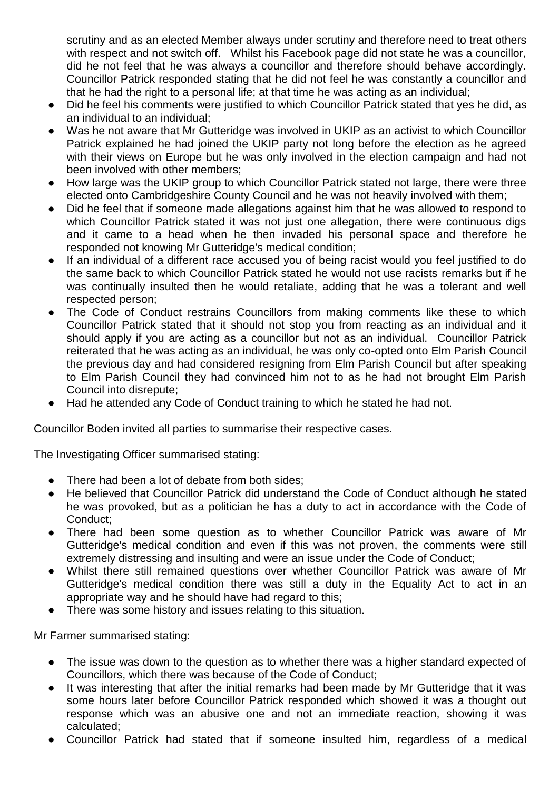scrutiny and as an elected Member always under scrutiny and therefore need to treat others with respect and not switch off. Whilst his Facebook page did not state he was a councillor, did he not feel that he was always a councillor and therefore should behave accordingly. Councillor Patrick responded stating that he did not feel he was constantly a councillor and that he had the right to a personal life; at that time he was acting as an individual;

- Did he feel his comments were justified to which Councillor Patrick stated that yes he did, as an individual to an individual;
- Was he not aware that Mr Gutteridge was involved in UKIP as an activist to which Councillor Patrick explained he had joined the UKIP party not long before the election as he agreed with their views on Europe but he was only involved in the election campaign and had not been involved with other members;
- How large was the UKIP group to which Councillor Patrick stated not large, there were three elected onto Cambridgeshire County Council and he was not heavily involved with them;
- Did he feel that if someone made allegations against him that he was allowed to respond to which Councillor Patrick stated it was not just one allegation, there were continuous digs and it came to a head when he then invaded his personal space and therefore he responded not knowing Mr Gutteridge's medical condition;
- If an individual of a different race accused you of being racist would you feel justified to do the same back to which Councillor Patrick stated he would not use racists remarks but if he was continually insulted then he would retaliate, adding that he was a tolerant and well respected person;
- The Code of Conduct restrains Councillors from making comments like these to which Councillor Patrick stated that it should not stop you from reacting as an individual and it should apply if you are acting as a councillor but not as an individual. Councillor Patrick reiterated that he was acting as an individual, he was only co-opted onto Elm Parish Council the previous day and had considered resigning from Elm Parish Council but after speaking to Elm Parish Council they had convinced him not to as he had not brought Elm Parish Council into disrepute;
- Had he attended any Code of Conduct training to which he stated he had not.

Councillor Boden invited all parties to summarise their respective cases.

The Investigating Officer summarised stating:

- There had been a lot of debate from both sides:
- He believed that Councillor Patrick did understand the Code of Conduct although he stated he was provoked, but as a politician he has a duty to act in accordance with the Code of Conduct;
- There had been some question as to whether Councillor Patrick was aware of Mr Gutteridge's medical condition and even if this was not proven, the comments were still extremely distressing and insulting and were an issue under the Code of Conduct;
- Whilst there still remained questions over whether Councillor Patrick was aware of Mr Gutteridge's medical condition there was still a duty in the Equality Act to act in an appropriate way and he should have had regard to this;
- There was some history and issues relating to this situation.

Mr Farmer summarised stating:

- The issue was down to the question as to whether there was a higher standard expected of Councillors, which there was because of the Code of Conduct;
- It was interesting that after the initial remarks had been made by Mr Gutteridge that it was some hours later before Councillor Patrick responded which showed it was a thought out response which was an abusive one and not an immediate reaction, showing it was calculated;
- Councillor Patrick had stated that if someone insulted him, regardless of a medical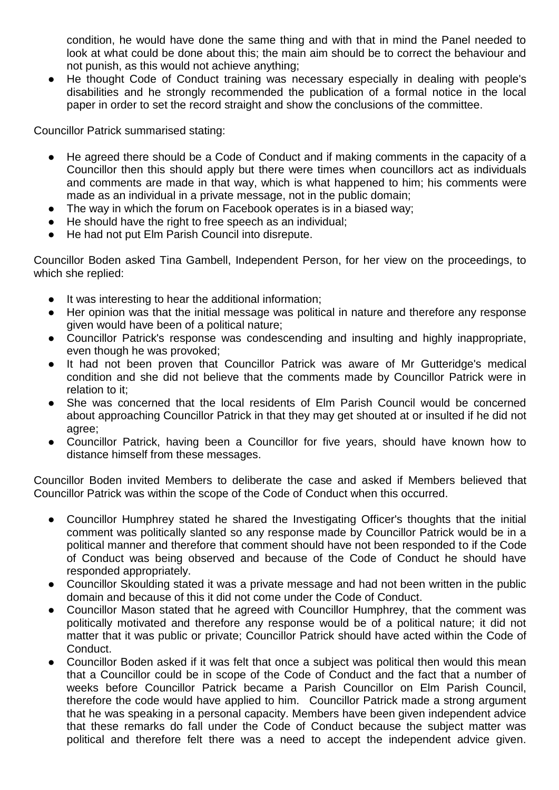condition, he would have done the same thing and with that in mind the Panel needed to look at what could be done about this; the main aim should be to correct the behaviour and not punish, as this would not achieve anything;

● He thought Code of Conduct training was necessary especially in dealing with people's disabilities and he strongly recommended the publication of a formal notice in the local paper in order to set the record straight and show the conclusions of the committee.

Councillor Patrick summarised stating:

- He agreed there should be a Code of Conduct and if making comments in the capacity of a Councillor then this should apply but there were times when councillors act as individuals and comments are made in that way, which is what happened to him; his comments were made as an individual in a private message, not in the public domain;
- The way in which the forum on Facebook operates is in a biased way;
- He should have the right to free speech as an individual:
- He had not put Elm Parish Council into disrepute.

Councillor Boden asked Tina Gambell, Independent Person, for her view on the proceedings, to which she replied:

- It was interesting to hear the additional information;
- Her opinion was that the initial message was political in nature and therefore any response given would have been of a political nature;
- Councillor Patrick's response was condescending and insulting and highly inappropriate, even though he was provoked;
- It had not been proven that Councillor Patrick was aware of Mr Gutteridge's medical condition and she did not believe that the comments made by Councillor Patrick were in relation to it;
- She was concerned that the local residents of Elm Parish Council would be concerned about approaching Councillor Patrick in that they may get shouted at or insulted if he did not agree;
- Councillor Patrick, having been a Councillor for five years, should have known how to distance himself from these messages.

Councillor Boden invited Members to deliberate the case and asked if Members believed that Councillor Patrick was within the scope of the Code of Conduct when this occurred.

- Councillor Humphrey stated he shared the Investigating Officer's thoughts that the initial comment was politically slanted so any response made by Councillor Patrick would be in a political manner and therefore that comment should have not been responded to if the Code of Conduct was being observed and because of the Code of Conduct he should have responded appropriately.
- Councillor Skoulding stated it was a private message and had not been written in the public domain and because of this it did not come under the Code of Conduct.
- Councillor Mason stated that he agreed with Councillor Humphrey, that the comment was politically motivated and therefore any response would be of a political nature; it did not matter that it was public or private; Councillor Patrick should have acted within the Code of Conduct.
- Councillor Boden asked if it was felt that once a subject was political then would this mean that a Councillor could be in scope of the Code of Conduct and the fact that a number of weeks before Councillor Patrick became a Parish Councillor on Elm Parish Council, therefore the code would have applied to him. Councillor Patrick made a strong argument that he was speaking in a personal capacity. Members have been given independent advice that these remarks do fall under the Code of Conduct because the subject matter was political and therefore felt there was a need to accept the independent advice given.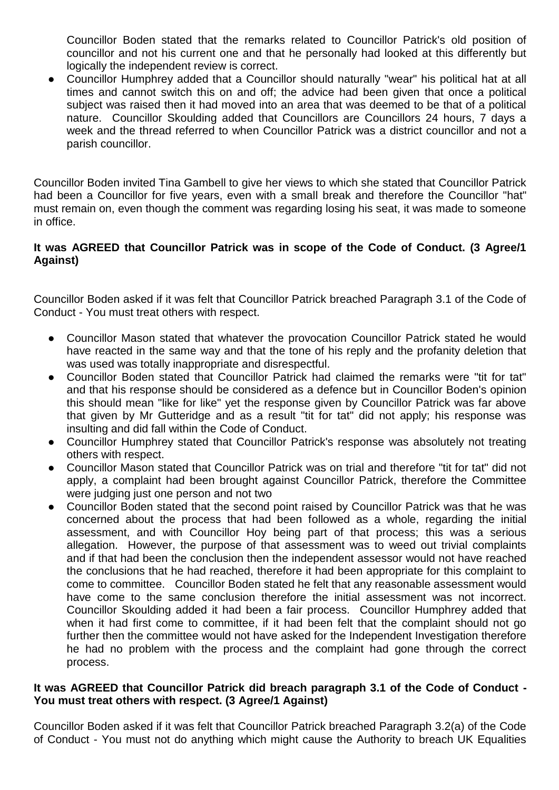Councillor Boden stated that the remarks related to Councillor Patrick's old position of councillor and not his current one and that he personally had looked at this differently but logically the independent review is correct.

● Councillor Humphrey added that a Councillor should naturally "wear" his political hat at all times and cannot switch this on and off; the advice had been given that once a political subject was raised then it had moved into an area that was deemed to be that of a political nature. Councillor Skoulding added that Councillors are Councillors 24 hours, 7 days a week and the thread referred to when Councillor Patrick was a district councillor and not a parish councillor.

Councillor Boden invited Tina Gambell to give her views to which she stated that Councillor Patrick had been a Councillor for five years, even with a small break and therefore the Councillor "hat" must remain on, even though the comment was regarding losing his seat, it was made to someone in office.

#### **It was AGREED that Councillor Patrick was in scope of the Code of Conduct. (3 Agree/1 Against)**

Councillor Boden asked if it was felt that Councillor Patrick breached Paragraph 3.1 of the Code of Conduct - You must treat others with respect.

- Councillor Mason stated that whatever the provocation Councillor Patrick stated he would have reacted in the same way and that the tone of his reply and the profanity deletion that was used was totally inappropriate and disrespectful.
- Councillor Boden stated that Councillor Patrick had claimed the remarks were "tit for tat" and that his response should be considered as a defence but in Councillor Boden's opinion this should mean "like for like" yet the response given by Councillor Patrick was far above that given by Mr Gutteridge and as a result "tit for tat" did not apply; his response was insulting and did fall within the Code of Conduct.
- Councillor Humphrey stated that Councillor Patrick's response was absolutely not treating others with respect.
- Councillor Mason stated that Councillor Patrick was on trial and therefore "tit for tat" did not apply, a complaint had been brought against Councillor Patrick, therefore the Committee were judging just one person and not two
- Councillor Boden stated that the second point raised by Councillor Patrick was that he was concerned about the process that had been followed as a whole, regarding the initial assessment, and with Councillor Hoy being part of that process; this was a serious allegation. However, the purpose of that assessment was to weed out trivial complaints and if that had been the conclusion then the independent assessor would not have reached the conclusions that he had reached, therefore it had been appropriate for this complaint to come to committee. Councillor Boden stated he felt that any reasonable assessment would have come to the same conclusion therefore the initial assessment was not incorrect. Councillor Skoulding added it had been a fair process. Councillor Humphrey added that when it had first come to committee, if it had been felt that the complaint should not go further then the committee would not have asked for the Independent Investigation therefore he had no problem with the process and the complaint had gone through the correct process.

#### **It was AGREED that Councillor Patrick did breach paragraph 3.1 of the Code of Conduct - You must treat others with respect. (3 Agree/1 Against)**

Councillor Boden asked if it was felt that Councillor Patrick breached Paragraph 3.2(a) of the Code of Conduct - You must not do anything which might cause the Authority to breach UK Equalities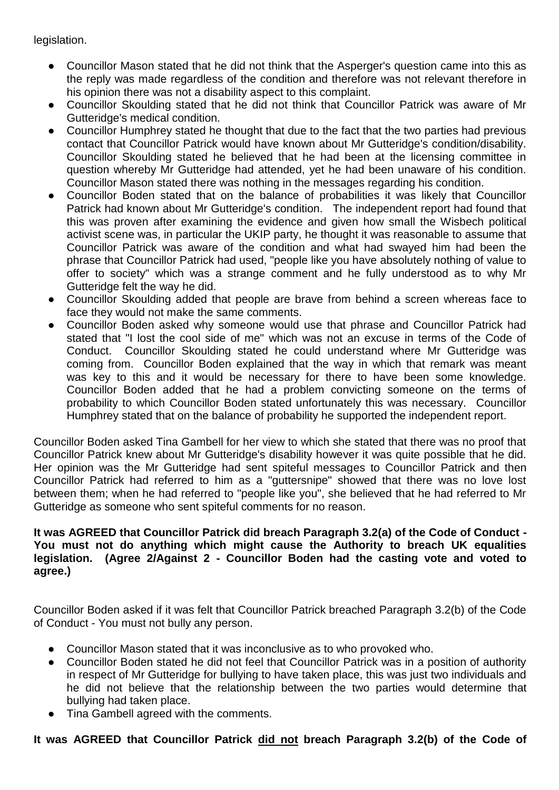legislation.

- Councillor Mason stated that he did not think that the Asperger's question came into this as the reply was made regardless of the condition and therefore was not relevant therefore in his opinion there was not a disability aspect to this complaint.
- Councillor Skoulding stated that he did not think that Councillor Patrick was aware of Mr Gutteridge's medical condition.
- Councillor Humphrey stated he thought that due to the fact that the two parties had previous contact that Councillor Patrick would have known about Mr Gutteridge's condition/disability. Councillor Skoulding stated he believed that he had been at the licensing committee in question whereby Mr Gutteridge had attended, yet he had been unaware of his condition. Councillor Mason stated there was nothing in the messages regarding his condition.
- Councillor Boden stated that on the balance of probabilities it was likely that Councillor Patrick had known about Mr Gutteridge's condition. The independent report had found that this was proven after examining the evidence and given how small the Wisbech political activist scene was, in particular the UKIP party, he thought it was reasonable to assume that Councillor Patrick was aware of the condition and what had swayed him had been the phrase that Councillor Patrick had used, "people like you have absolutely nothing of value to offer to society" which was a strange comment and he fully understood as to why Mr Gutteridge felt the way he did.
- Councillor Skoulding added that people are brave from behind a screen whereas face to face they would not make the same comments.
- Councillor Boden asked why someone would use that phrase and Councillor Patrick had stated that "I lost the cool side of me" which was not an excuse in terms of the Code of Conduct. Councillor Skoulding stated he could understand where Mr Gutteridge was coming from. Councillor Boden explained that the way in which that remark was meant was key to this and it would be necessary for there to have been some knowledge. Councillor Boden added that he had a problem convicting someone on the terms of probability to which Councillor Boden stated unfortunately this was necessary. Councillor Humphrey stated that on the balance of probability he supported the independent report.

Councillor Boden asked Tina Gambell for her view to which she stated that there was no proof that Councillor Patrick knew about Mr Gutteridge's disability however it was quite possible that he did. Her opinion was the Mr Gutteridge had sent spiteful messages to Councillor Patrick and then Councillor Patrick had referred to him as a "guttersnipe" showed that there was no love lost between them; when he had referred to "people like you", she believed that he had referred to Mr Gutteridge as someone who sent spiteful comments for no reason.

#### **It was AGREED that Councillor Patrick did breach Paragraph 3.2(a) of the Code of Conduct - You must not do anything which might cause the Authority to breach UK equalities legislation. (Agree 2/Against 2 - Councillor Boden had the casting vote and voted to agree.)**

Councillor Boden asked if it was felt that Councillor Patrick breached Paragraph 3.2(b) of the Code of Conduct - You must not bully any person.

- Councillor Mason stated that it was inconclusive as to who provoked who.
- Councillor Boden stated he did not feel that Councillor Patrick was in a position of authority in respect of Mr Gutteridge for bullying to have taken place, this was just two individuals and he did not believe that the relationship between the two parties would determine that bullying had taken place.
- Tina Gambell agreed with the comments.

#### **It was AGREED that Councillor Patrick did not breach Paragraph 3.2(b) of the Code of**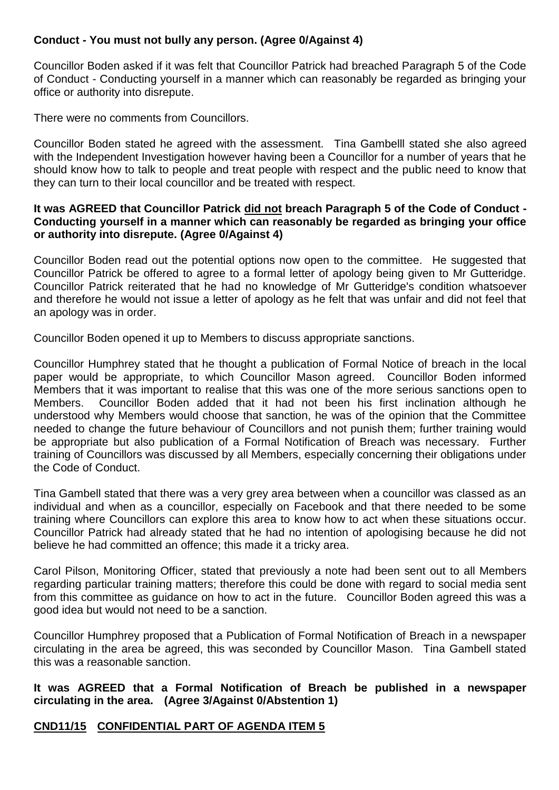#### **Conduct - You must not bully any person. (Agree 0/Against 4)**

Councillor Boden asked if it was felt that Councillor Patrick had breached Paragraph 5 of the Code of Conduct - Conducting yourself in a manner which can reasonably be regarded as bringing your office or authority into disrepute.

There were no comments from Councillors.

Councillor Boden stated he agreed with the assessment. Tina Gambelll stated she also agreed with the Independent Investigation however having been a Councillor for a number of years that he should know how to talk to people and treat people with respect and the public need to know that they can turn to their local councillor and be treated with respect.

#### **It was AGREED that Councillor Patrick did not breach Paragraph 5 of the Code of Conduct - Conducting yourself in a manner which can reasonably be regarded as bringing your office or authority into disrepute. (Agree 0/Against 4)**

Councillor Boden read out the potential options now open to the committee. He suggested that Councillor Patrick be offered to agree to a formal letter of apology being given to Mr Gutteridge. Councillor Patrick reiterated that he had no knowledge of Mr Gutteridge's condition whatsoever and therefore he would not issue a letter of apology as he felt that was unfair and did not feel that an apology was in order.

Councillor Boden opened it up to Members to discuss appropriate sanctions.

Councillor Humphrey stated that he thought a publication of Formal Notice of breach in the local paper would be appropriate, to which Councillor Mason agreed. Councillor Boden informed Members that it was important to realise that this was one of the more serious sanctions open to Members. Councillor Boden added that it had not been his first inclination although he understood why Members would choose that sanction, he was of the opinion that the Committee needed to change the future behaviour of Councillors and not punish them; further training would be appropriate but also publication of a Formal Notification of Breach was necessary. Further training of Councillors was discussed by all Members, especially concerning their obligations under the Code of Conduct.

Tina Gambell stated that there was a very grey area between when a councillor was classed as an individual and when as a councillor, especially on Facebook and that there needed to be some training where Councillors can explore this area to know how to act when these situations occur. Councillor Patrick had already stated that he had no intention of apologising because he did not believe he had committed an offence; this made it a tricky area.

Carol Pilson, Monitoring Officer, stated that previously a note had been sent out to all Members regarding particular training matters; therefore this could be done with regard to social media sent from this committee as guidance on how to act in the future. Councillor Boden agreed this was a good idea but would not need to be a sanction.

Councillor Humphrey proposed that a Publication of Formal Notification of Breach in a newspaper circulating in the area be agreed, this was seconded by Councillor Mason. Tina Gambell stated this was a reasonable sanction.

**It was AGREED that a Formal Notification of Breach be published in a newspaper circulating in the area. (Agree 3/Against 0/Abstention 1)**

#### **CND11/15 CONFIDENTIAL PART OF AGENDA ITEM 5**